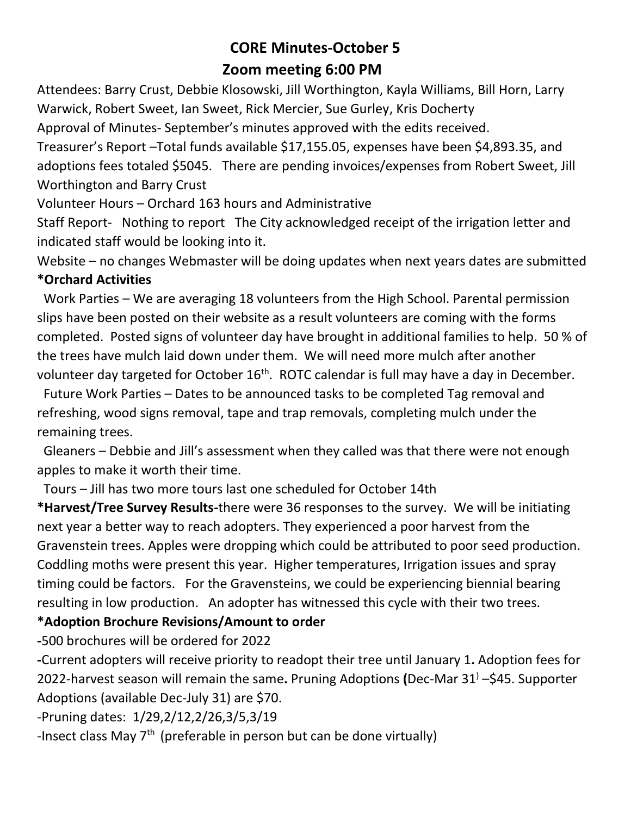## **CORE Minutes-October 5 Zoom meeting 6:00 PM**

Attendees: Barry Crust, Debbie Klosowski, Jill Worthington, Kayla Williams, Bill Horn, Larry Warwick, Robert Sweet, Ian Sweet, Rick Mercier, Sue Gurley, Kris Docherty

Approval of Minutes- September's minutes approved with the edits received.

Treasurer's Report –Total funds available \$17,155.05, expenses have been \$4,893.35, and adoptions fees totaled \$5045. There are pending invoices/expenses from Robert Sweet, Jill Worthington and Barry Crust

Volunteer Hours – Orchard 163 hours and Administrative

Staff Report- Nothing to report The City acknowledged receipt of the irrigation letter and indicated staff would be looking into it.

Website – no changes Webmaster will be doing updates when next years dates are submitted **\*Orchard Activities**

Work Parties – We are averaging 18 volunteers from the High School. Parental permission slips have been posted on their website as a result volunteers are coming with the forms completed. Posted signs of volunteer day have brought in additional families to help. 50 % of the trees have mulch laid down under them. We will need more mulch after another volunteer day targeted for October 16<sup>th</sup>. ROTC calendar is full may have a day in December.

 Future Work Parties – Dates to be announced tasks to be completed Tag removal and refreshing, wood signs removal, tape and trap removals, completing mulch under the remaining trees.

 Gleaners – Debbie and Jill's assessment when they called was that there were not enough apples to make it worth their time.

Tours – Jill has two more tours last one scheduled for October 14th

**\*Harvest/Tree Survey Results-**there were 36 responses to the survey. We will be initiating next year a better way to reach adopters. They experienced a poor harvest from the Gravenstein trees. Apples were dropping which could be attributed to poor seed production. Coddling moths were present this year. Higher temperatures, Irrigation issues and spray timing could be factors. For the Gravensteins, we could be experiencing biennial bearing resulting in low production. An adopter has witnessed this cycle with their two trees.

## **\*Adoption Brochure Revisions/Amount to order**

**-**500 brochures will be ordered for 2022

**-**Current adopters will receive priority to readopt their tree until January 1**.** Adoption fees for 2022-harvest season will remain the same**.** Pruning Adoptions **(**Dec-Mar 31) –\$45. Supporter Adoptions (available Dec-July 31) are \$70.

-Pruning dates: 1/29,2/12,2/26,3/5,3/19

-Insect class May  $7<sup>th</sup>$  (preferable in person but can be done virtually)